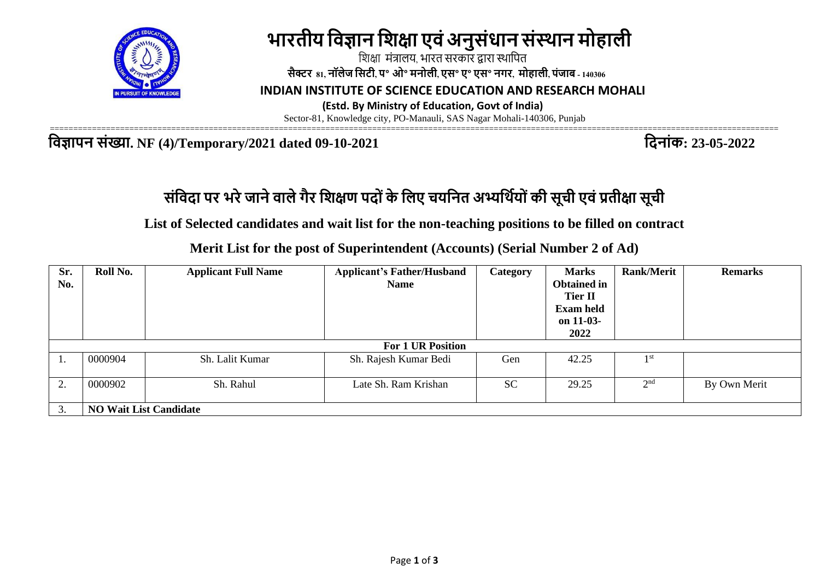

# **भारतीय विज्ञान विक्षा एिंअनुसंधान संस्थान मोहाली**

 शिक्षा मंत्रालय, भारत सरकार द्वारा स्थाशित  **सैक्टर 81, नॉलेज वसटी, प॰ ओ॰ मनोली, एस॰ ए॰ एस॰ नगर, मोहाली, पंजाब - 140306**

 **INDIAN INSTITUTE OF SCIENCE EDUCATION AND RESEARCH MOHALI**

 **(Estd. By Ministry of Education, Govt of India)** 

Sector-81, Knowledge city, PO-Manauli, SAS Nagar Mohali-140306, Punjab

**विज्ञापन संख्या. NF (4)/Temporary/2021 dated 09-10-2021 विनांक: 23-05-2022**

============================================================================================================================================================

## **संवििा पर भरेजानेिालेगैर विक्षण पि ंके वलए चयवनत अभ्यवथिय ंकी सूची एिंप्रतीक्षा सूची**

**List of Selected candidates and wait list for the non-teaching positions to be filled on contract**

**Merit List for the post of Superintendent (Accounts) (Serial Number 2 of Ad)**

| Sr.<br>No. | Roll No.                      | <b>Applicant Full Name</b> | <b>Applicant's Father/Husband</b><br><b>Name</b> | Category  | <b>Marks</b><br><b>Obtained in</b><br><b>Tier II</b><br><b>Exam held</b><br>on 11-03- | <b>Rank/Merit</b> | <b>Remarks</b> |  |  |
|------------|-------------------------------|----------------------------|--------------------------------------------------|-----------|---------------------------------------------------------------------------------------|-------------------|----------------|--|--|
|            |                               |                            |                                                  |           | 2022                                                                                  |                   |                |  |  |
|            | <b>For 1 UR Position</b>      |                            |                                                  |           |                                                                                       |                   |                |  |  |
|            | 0000904                       | Sh. Lalit Kumar            | Sh. Rajesh Kumar Bedi                            | Gen       | 42.25                                                                                 | 1 <sub>st</sub>   |                |  |  |
| 2.         | 0000902                       | Sh. Rahul                  | Late Sh. Ram Krishan                             | <b>SC</b> | 29.25                                                                                 | 2 <sup>nd</sup>   | By Own Merit   |  |  |
|            | <b>NO Wait List Candidate</b> |                            |                                                  |           |                                                                                       |                   |                |  |  |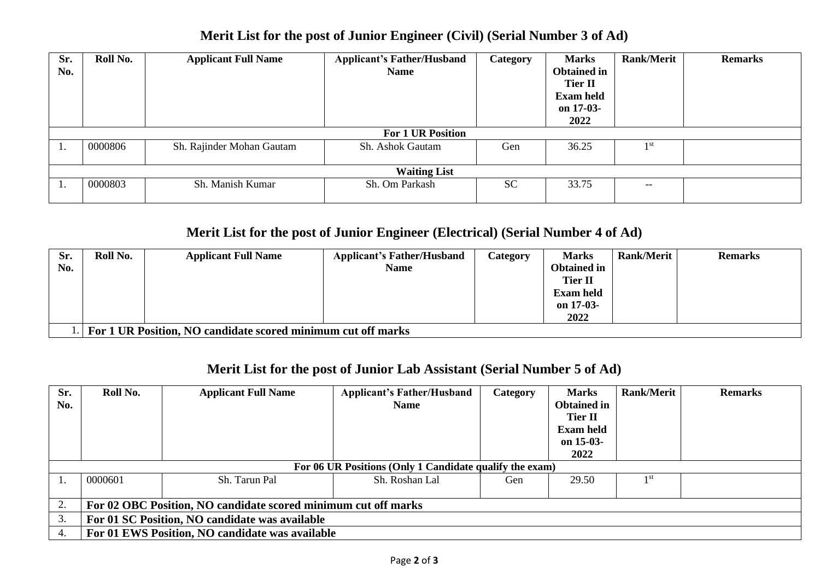| Sr.<br>No.          | Roll No.                 | <b>Applicant Full Name</b> | <b>Applicant's Father/Husband</b><br><b>Name</b> | Category  | <b>Marks</b><br><b>Obtained in</b><br><b>Tier II</b><br><b>Exam held</b> | <b>Rank/Merit</b>                     | <b>Remarks</b> |  |  |
|---------------------|--------------------------|----------------------------|--------------------------------------------------|-----------|--------------------------------------------------------------------------|---------------------------------------|----------------|--|--|
|                     |                          |                            |                                                  |           | on 17-03-<br>2022                                                        |                                       |                |  |  |
|                     |                          |                            |                                                  |           |                                                                          |                                       |                |  |  |
|                     | <b>For 1 UR Position</b> |                            |                                                  |           |                                                                          |                                       |                |  |  |
| 1.                  | 0000806                  | Sh. Rajinder Mohan Gautam  | Sh. Ashok Gautam                                 | Gen       | 36.25                                                                    | 1 st                                  |                |  |  |
| <b>Waiting List</b> |                          |                            |                                                  |           |                                                                          |                                       |                |  |  |
|                     | 0000803                  | Sh. Manish Kumar           | Sh. Om Parkash                                   | <b>SC</b> | 33.75                                                                    | $\hspace{0.05cm}$ – $\hspace{0.05cm}$ |                |  |  |

### **Merit List for the post of Junior Engineer (Civil) (Serial Number 3 of Ad)**

#### **Merit List for the post of Junior Engineer (Electrical) (Serial Number 4 of Ad)**

| Sr. | Roll No.                                                     | <b>Applicant Full Name</b> | <b>Applicant's Father/Husband</b> | Category | <b>Marks</b>       | <b>Rank/Merit</b> | <b>Remarks</b> |  |  |
|-----|--------------------------------------------------------------|----------------------------|-----------------------------------|----------|--------------------|-------------------|----------------|--|--|
| No. |                                                              |                            | <b>Name</b>                       |          | <b>Obtained in</b> |                   |                |  |  |
|     |                                                              |                            |                                   |          | <b>Tier II</b>     |                   |                |  |  |
|     |                                                              |                            |                                   |          | <b>Exam held</b>   |                   |                |  |  |
|     |                                                              |                            |                                   |          | on 17-03-          |                   |                |  |  |
|     |                                                              |                            |                                   |          | 2022               |                   |                |  |  |
|     | For 1 UR Position, NO candidate scored minimum cut off marks |                            |                                   |          |                    |                   |                |  |  |

#### **Merit List for the post of Junior Lab Assistant (Serial Number 5 of Ad)**

| Sr. | Roll No.                                                       | <b>Applicant Full Name</b> | <b>Applicant's Father/Husband</b> | Category | <b>Marks</b>       | Rank/Merit | <b>Remarks</b> |  |  |
|-----|----------------------------------------------------------------|----------------------------|-----------------------------------|----------|--------------------|------------|----------------|--|--|
| No. |                                                                |                            | <b>Name</b>                       |          | <b>Obtained in</b> |            |                |  |  |
|     |                                                                |                            |                                   |          | <b>Tier II</b>     |            |                |  |  |
|     |                                                                |                            |                                   |          | Exam held          |            |                |  |  |
|     |                                                                |                            |                                   |          | on $15-03-$        |            |                |  |  |
|     |                                                                |                            |                                   |          | 2022               |            |                |  |  |
|     | For 06 UR Positions (Only 1 Candidate qualify the exam)        |                            |                                   |          |                    |            |                |  |  |
|     | 0000601                                                        | Sh. Tarun Pal              | Sh. Roshan Lal                    | Gen      | 29.50              | 1 st       |                |  |  |
|     |                                                                |                            |                                   |          |                    |            |                |  |  |
| 2.  | For 02 OBC Position, NO candidate scored minimum cut off marks |                            |                                   |          |                    |            |                |  |  |
| 3.  | For 01 SC Position, NO candidate was available                 |                            |                                   |          |                    |            |                |  |  |
| 4.  | For 01 EWS Position, NO candidate was available                |                            |                                   |          |                    |            |                |  |  |